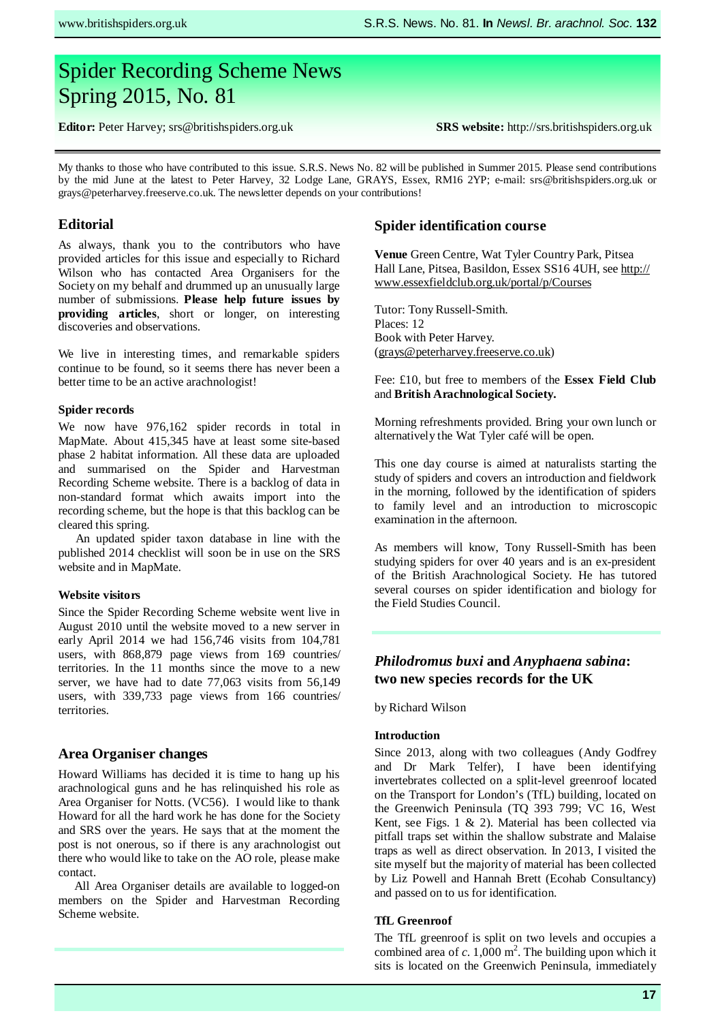# Spider Recording Scheme News Spring 2015, No. 81

**srs@britishspiders.org.uk Editor:** Peter Harvey; srs@britishspiders.org.uk

**SRS website:** http://srs.britishspiders.org.uk

My thanks to those who have contributed to this issue. S.R.S. News No. 82 will be published in Summer 2015. Please send contributions by the mid June at the latest to Peter Harvey, 32 Lodge Lane, GRAYS, Essex, RM16 2YP; e-mail: srs@britishspiders.org.uk or grays@peterharvey.freeserve.co.uk. The newsletter depends on your contributions!

# **Editorial**

As always, thank you to the contributors who have provided articles for this issue and especially to Richard Wilson who has contacted Area Organisers for the Society on my behalf and drummed up an unusually large number of submissions. **Please help future issues by providing articles**, short or longer, on interesting discoveries and observations.

We live in interesting times, and remarkable spiders continue to be found, so it seems there has never been a better time to be an active arachnologist!

#### **Spider records**

We now have 976,162 spider records in total in MapMate. About 415,345 have at least some site-based phase 2 habitat information. All these data are uploaded and summarised on the Spider and Harvestman Recording Scheme website. There is a backlog of data in non-standard format which awaits import into the recording scheme, but the hope is that this backlog can be cleared this spring.

An updated spider taxon database in line with the published 2014 checklist will soon be in use on the SRS website and in MapMate.

#### **Website visitors**

Since the Spider Recording Scheme website went live in August 2010 until the website moved to a new server in early April 2014 we had 156,746 visits from 104,781 users, with 868,879 page views from 169 countries/ territories. In the 11 months since the move to a new server, we have had to date 77,063 visits from 56,149 users, with 339,733 page views from 166 countries/ territories.

# **Area Organiser changes**

Howard Williams has decided it is time to hang up his arachnological guns and he has relinquished his role as Area Organiser for Notts. (VC56). I would like to thank Howard for all the hard work he has done for the Society and SRS over the years. He says that at the moment the post is not onerous, so if there is any arachnologist out there who would like to take on the AO role, please make contact.

All Area Organiser details are available to logged-on members on the Spider and Harvestman Recording Scheme website.

# **Spider identification course**

**Venue** Green Centre, Wat Tyler Country Park, Pitsea Hall Lane, Pitsea, Basildon, Essex SS16 4UH, see http:// www.essexfieldclub.org.uk/portal/p/Courses

Tutor: Tony Russell-Smith. Places: 12 Book with Peter Harvey. (grays@peterharvey.freeserve.co.uk)

#### Fee: £10, but free to members of the **Essex Field Club** and **British Arachnological Society.**

Morning refreshments provided. Bring your own lunch or alternatively the Wat Tyler café will be open.

This one day course is aimed at naturalists starting the study of spiders and covers an introduction and fieldwork in the morning, followed by the identification of spiders to family level and an introduction to microscopic examination in the afternoon.

As members will know, Tony Russell-Smith has been studying spiders for over 40 years and is an ex-president of the British Arachnological Society. He has tutored several courses on spider identification and biology for the Field Studies Council.

# *Philodromus buxi* **and** *Anyphaena sabina***: two new species records for the UK**

by Richard Wilson

# **Introduction**

Since 2013, along with two colleagues (Andy Godfrey and Dr Mark Telfer), I have been identifying invertebrates collected on a split-level greenroof located on the Transport for London's (TfL) building, located on the Greenwich Peninsula (TQ 393 799; VC 16, West Kent, see Figs. 1 & 2). Material has been collected via pitfall traps set within the shallow substrate and Malaise traps as well as direct observation. In 2013, I visited the site myself but the majority of material has been collected by Liz Powell and Hannah Brett (Ecohab Consultancy) and passed on to us for identification.

#### **TfL Greenroof**

The TfL greenroof is split on two levels and occupies a combined area of  $c$ . 1,000 m<sup>2</sup>. The building upon which it sits is located on the Greenwich Peninsula, immediately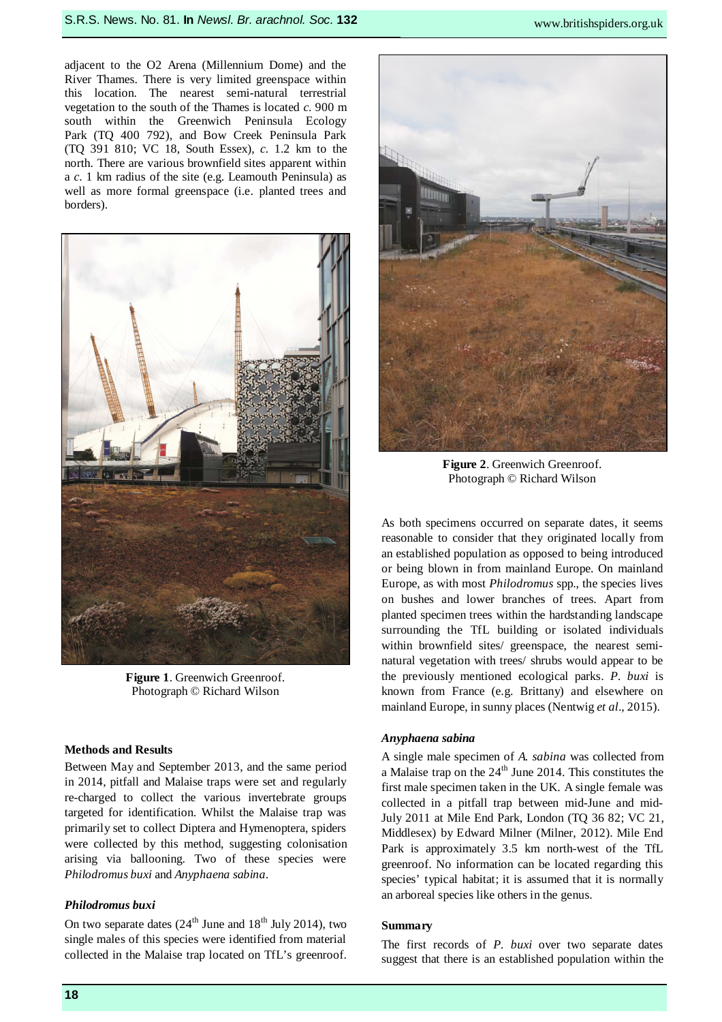adjacent to the O2 Arena (Millennium Dome) and the River Thames. There is very limited greenspace within this location. The nearest semi-natural terrestrial vegetation to the south of the Thames is located *c*. 900 m south within the Greenwich Peninsula Ecology Park (TQ 400 792), and Bow Creek Peninsula Park (TQ 391 810; VC 18, South Essex), *c*. 1.2 km to the north. There are various brownfield sites apparent within a *c*. 1 km radius of the site (e.g. Leamouth Peninsula) as well as more formal greenspace (i.e. planted trees and borders).



**Figure 1**. Greenwich Greenroof. Photograph © Richard Wilson

# **Methods and Results**

Between May and September 2013, and the same period in 2014, pitfall and Malaise traps were set and regularly re-charged to collect the various invertebrate groups targeted for identification. Whilst the Malaise trap was primarily set to collect Diptera and Hymenoptera, spiders were collected by this method, suggesting colonisation arising via ballooning. Two of these species were *Philodromus buxi* and *Anyphaena sabina*.

#### *Philodromus buxi*

On two separate dates  $(24<sup>th</sup>$  June and  $18<sup>th</sup>$  July 2014), two single males of this species were identified from material collected in the Malaise trap located on TfL's greenroof.



**Figure 2**. Greenwich Greenroof. Photograph © Richard Wilson

As both specimens occurred on separate dates, it seems reasonable to consider that they originated locally from an established population as opposed to being introduced or being blown in from mainland Europe. On mainland Europe, as with most *Philodromus* spp., the species lives on bushes and lower branches of trees. Apart from planted specimen trees within the hardstanding landscape surrounding the TfL building or isolated individuals within brownfield sites/ greenspace, the nearest seminatural vegetation with trees/ shrubs would appear to be the previously mentioned ecological parks. *P. buxi* is known from France (e.g. Brittany) and elsewhere on mainland Europe, in sunny places (Nentwig *et al*., 2015).

#### *Anyphaena sabina*

A single male specimen of *A. sabina* was collected from a Malaise trap on the 24<sup>th</sup> June 2014. This constitutes the first male specimen taken in the UK. A single female was collected in a pitfall trap between mid-June and mid-July 2011 at Mile End Park, London (TQ 36 82; VC 21, Middlesex) by Edward Milner (Milner, 2012). Mile End Park is approximately 3.5 km north-west of the TfL greenroof. No information can be located regarding this species' typical habitat; it is assumed that it is normally an arboreal species like others in the genus.

### **Summary**

The first records of *P. buxi* over two separate dates suggest that there is an established population within the